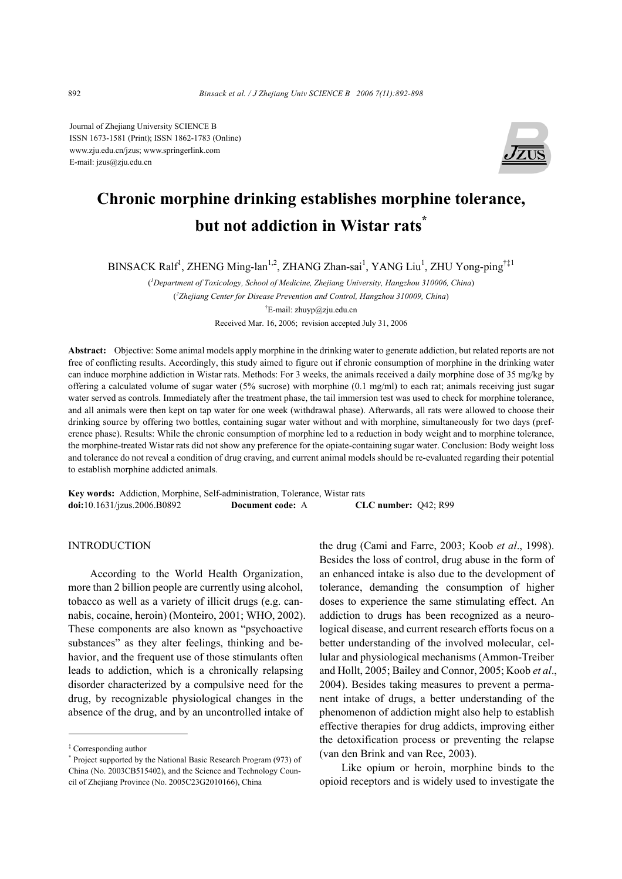Journal of Zhejiang University SCIENCE B ISSN 1673-1581 (Print); ISSN 1862-1783 (Online) www.zju.edu.cn/jzus; www.springerlink.com E-mail: jzus@zju.edu.cn



# **Chronic morphine drinking establishes morphine tolerance, but not addiction in Wistar rats\***

BINSACK Ralf<sup>1</sup>, ZHENG Ming-lan<sup>1,2</sup>, ZHANG Zhan-sai<sup>1</sup>, YANG Liu<sup>1</sup>, ZHU Yong-ping<sup>†‡1</sup>

( *1 Department of Toxicology, School of Medicine, Zhejiang University, Hangzhou 310006, China*) ( *2 Zhejiang Center for Disease Prevention and Control, Hangzhou 310009, China*) † E-mail: zhuyp@zju.edu.cn Received Mar. 16, 2006; revision accepted July 31, 2006

**Abstract:** Objective: Some animal models apply morphine in the drinking water to generate addiction, but related reports are not free of conflicting results. Accordingly, this study aimed to figure out if chronic consumption of morphine in the drinking water can induce morphine addiction in Wistar rats. Methods: For 3 weeks, the animals received a daily morphine dose of 35 mg/kg by offering a calculated volume of sugar water (5% sucrose) with morphine  $(0.1 \text{ mg/ml})$  to each rat; animals receiving just sugar water served as controls. Immediately after the treatment phase, the tail immersion test was used to check for morphine tolerance, and all animals were then kept on tap water for one week (withdrawal phase). Afterwards, all rats were allowed to choose their drinking source by offering two bottles, containing sugar water without and with morphine, simultaneously for two days (preference phase). Results: While the chronic consumption of morphine led to a reduction in body weight and to morphine tolerance, the morphine-treated Wistar rats did not show any preference for the opiate-containing sugar water. Conclusion: Body weight loss and tolerance do not reveal a condition of drug craving, and current animal models should be re-evaluated regarding their potential to establish morphine addicted animals.

**Key words:** Addiction, Morphine, Self-administration, Tolerance, Wistar rats **doi:**10.1631/jzus.2006.B0892 **Document code:** A **CLC number:** Q42; R99

# **INTRODUCTION**

According to the World Health Organization, more than 2 billion people are currently using alcohol, tobacco as well as a variety of illicit drugs (e.g. cannabis, cocaine, heroin) (Monteiro, 2001; WHO, 2002). These components are also known as "psychoactive substances" as they alter feelings, thinking and behavior, and the frequent use of those stimulants often leads to addiction, which is a chronically relapsing disorder characterized by a compulsive need for the drug, by recognizable physiological changes in the absence of the drug, and by an uncontrolled intake of

the drug (Cami and Farre, 2003; Koob *et al*., 1998). Besides the loss of control, drug abuse in the form of an enhanced intake is also due to the development of tolerance, demanding the consumption of higher doses to experience the same stimulating effect. An addiction to drugs has been recognized as a neurological disease, and current research efforts focus on a better understanding of the involved molecular, cellular and physiological mechanisms (Ammon-Treiber and Hollt, 2005; Bailey and Connor, 2005; Koob *et al*., 2004). Besides taking measures to prevent a permanent intake of drugs, a better understanding of the phenomenon of addiction might also help to establish effective therapies for drug addicts, improving either the detoxification process or preventing the relapse (van den Brink and van Ree, 2003).

Like opium or heroin, morphine binds to the opioid receptors and is widely used to investigate the

<sup>‡</sup> Corresponding author

<sup>\*</sup> Project supported by the National Basic Research Program (973) of China (No. 2003CB515402), and the Science and Technology Council of Zhejiang Province (No. 2005C23G2010166), China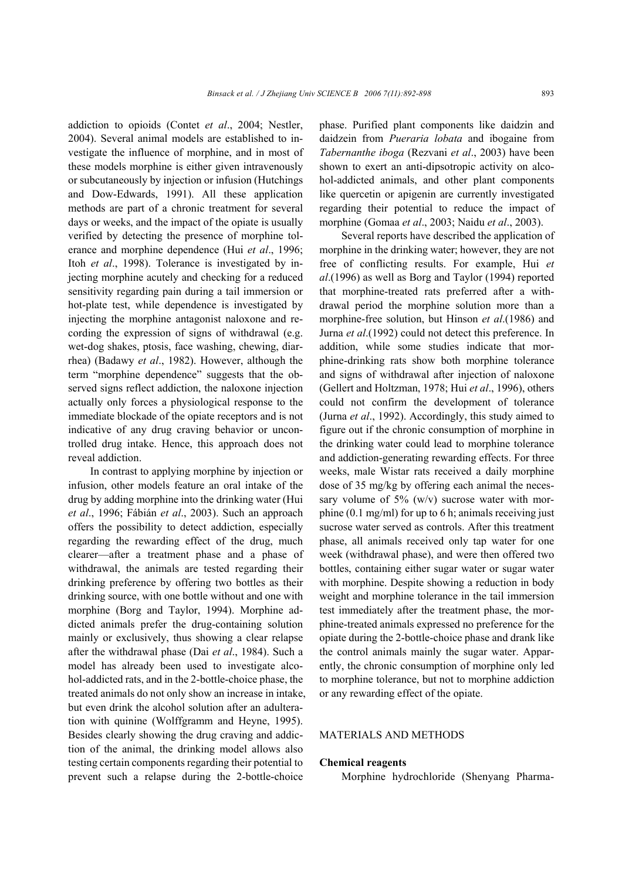addiction to opioids (Contet *et al*., 2004; Nestler, 2004). Several animal models are established to investigate the influence of morphine, and in most of these models morphine is either given intravenously or subcutaneously by injection or infusion (Hutchings and Dow-Edwards, 1991). All these application methods are part of a chronic treatment for several days or weeks, and the impact of the opiate is usually verified by detecting the presence of morphine tolerance and morphine dependence (Hui *et al*., 1996; Itoh *et al*., 1998). Tolerance is investigated by injecting morphine acutely and checking for a reduced sensitivity regarding pain during a tail immersion or hot-plate test, while dependence is investigated by injecting the morphine antagonist naloxone and recording the expression of signs of withdrawal (e.g. wet-dog shakes, ptosis, face washing, chewing, diarrhea) (Badawy *et al*., 1982). However, although the term "morphine dependence" suggests that the observed signs reflect addiction, the naloxone injection actually only forces a physiological response to the immediate blockade of the opiate receptors and is not indicative of any drug craving behavior or uncontrolled drug intake. Hence, this approach does not reveal addiction.

In contrast to applying morphine by injection or infusion, other models feature an oral intake of the drug by adding morphine into the drinking water (Hui *et al*., 1996; Fábián *et al*., 2003). Such an approach offers the possibility to detect addiction, especially regarding the rewarding effect of the drug, much clearer—after a treatment phase and a phase of withdrawal, the animals are tested regarding their drinking preference by offering two bottles as their drinking source, with one bottle without and one with morphine (Borg and Taylor, 1994). Morphine addicted animals prefer the drug-containing solution mainly or exclusively, thus showing a clear relapse after the withdrawal phase (Dai *et al*., 1984). Such a model has already been used to investigate alcohol-addicted rats, and in the 2-bottle-choice phase, the treated animals do not only show an increase in intake, but even drink the alcohol solution after an adulteration with quinine (Wolffgramm and Heyne, 1995). Besides clearly showing the drug craving and addiction of the animal, the drinking model allows also testing certain components regarding their potential to prevent such a relapse during the 2-bottle-choice

phase. Purified plant components like daidzin and daidzein from *Pueraria lobata* and ibogaine from *Tabernanthe iboga* (Rezvani *et al*., 2003) have been shown to exert an anti-dipsotropic activity on alcohol-addicted animals, and other plant components like quercetin or apigenin are currently investigated regarding their potential to reduce the impact of morphine (Gomaa *et al*., 2003; Naidu *et al*., 2003).

Several reports have described the application of morphine in the drinking water; however, they are not free of conflicting results. For example, Hui *et al*.(1996) as well as Borg and Taylor (1994) reported that morphine-treated rats preferred after a withdrawal period the morphine solution more than a morphine-free solution, but Hinson *et al*.(1986) and Jurna *et al*.(1992) could not detect this preference. In addition, while some studies indicate that morphine-drinking rats show both morphine tolerance and signs of withdrawal after injection of naloxone (Gellert and Holtzman, 1978; Hui *et al*., 1996), others could not confirm the development of tolerance (Jurna *et al*., 1992). Accordingly, this study aimed to figure out if the chronic consumption of morphine in the drinking water could lead to morphine tolerance and addiction-generating rewarding effects. For three weeks, male Wistar rats received a daily morphine dose of 35 mg/kg by offering each animal the necessary volume of  $5\%$  (w/v) sucrose water with morphine (0.1 mg/ml) for up to 6 h; animals receiving just sucrose water served as controls. After this treatment phase, all animals received only tap water for one week (withdrawal phase), and were then offered two bottles, containing either sugar water or sugar water with morphine. Despite showing a reduction in body weight and morphine tolerance in the tail immersion test immediately after the treatment phase, the morphine-treated animals expressed no preference for the opiate during the 2-bottle-choice phase and drank like the control animals mainly the sugar water. Apparently, the chronic consumption of morphine only led to morphine tolerance, but not to morphine addiction or any rewarding effect of the opiate.

## MATERIALS AND METHODS

#### **Chemical reagents**

Morphine hydrochloride (Shenyang Pharma-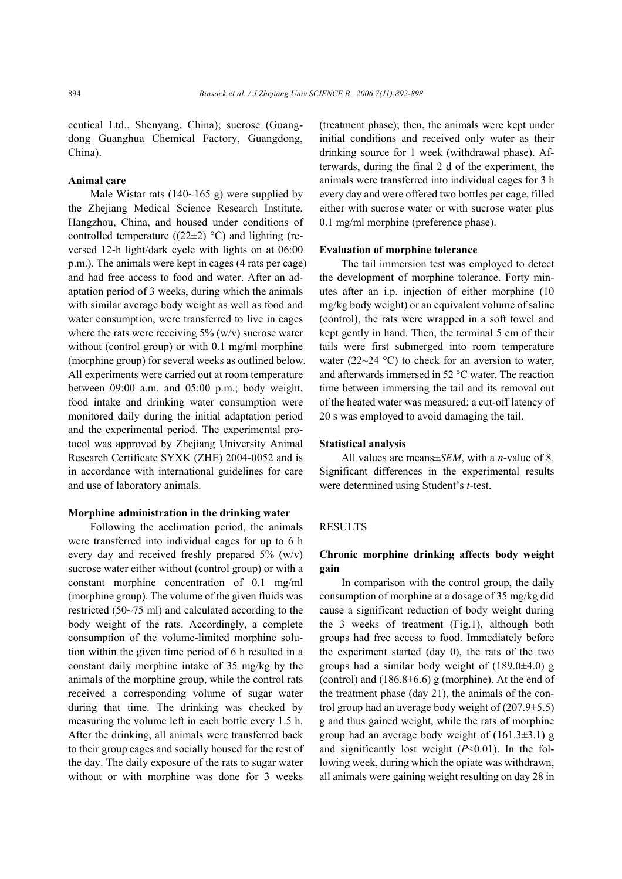ceutical Ltd., Shenyang, China); sucrose (Guangdong Guanghua Chemical Factory, Guangdong, China).

## **Animal care**

Male Wistar rats  $(140-165 \text{ g})$  were supplied by the Zhejiang Medical Science Research Institute, Hangzhou, China, and housed under conditions of controlled temperature ((22 $\pm$ 2) °C) and lighting (reversed 12-h light/dark cycle with lights on at 06:00 p.m.). The animals were kept in cages (4 rats per cage) and had free access to food and water. After an adaptation period of 3 weeks, during which the animals with similar average body weight as well as food and water consumption, were transferred to live in cages where the rats were receiving  $5\%$  (w/v) sucrose water without (control group) or with 0.1 mg/ml morphine (morphine group) for several weeks as outlined below. All experiments were carried out at room temperature between 09:00 a.m. and 05:00 p.m.; body weight, food intake and drinking water consumption were monitored daily during the initial adaptation period and the experimental period. The experimental protocol was approved by Zhejiang University Animal Research Certificate SYXK (ZHE) 2004-0052 and is in accordance with international guidelines for care and use of laboratory animals.

#### **Morphine administration in the drinking water**

Following the acclimation period, the animals were transferred into individual cages for up to 6 h every day and received freshly prepared 5% (w/v) sucrose water either without (control group) or with a constant morphine concentration of 0.1 mg/ml (morphine group). The volume of the given fluids was restricted (50~75 ml) and calculated according to the body weight of the rats. Accordingly, a complete consumption of the volume-limited morphine solution within the given time period of 6 h resulted in a constant daily morphine intake of 35 mg/kg by the animals of the morphine group, while the control rats received a corresponding volume of sugar water during that time. The drinking was checked by measuring the volume left in each bottle every 1.5 h. After the drinking, all animals were transferred back to their group cages and socially housed for the rest of the day. The daily exposure of the rats to sugar water without or with morphine was done for 3 weeks

(treatment phase); then, the animals were kept under initial conditions and received only water as their drinking source for 1 week (withdrawal phase). Afterwards, during the final 2 d of the experiment, the animals were transferred into individual cages for 3 h every day and were offered two bottles per cage, filled either with sucrose water or with sucrose water plus 0.1 mg/ml morphine (preference phase).

#### **Evaluation of morphine tolerance**

The tail immersion test was employed to detect the development of morphine tolerance. Forty minutes after an i.p. injection of either morphine (10 mg/kg body weight) or an equivalent volume of saline (control), the rats were wrapped in a soft towel and kept gently in hand. Then, the terminal 5 cm of their tails were first submerged into room temperature water (22~24  $^{\circ}$ C) to check for an aversion to water, and afterwards immersed in 52 °C water. The reaction time between immersing the tail and its removal out of the heated water was measured; a cut-off latency of 20 s was employed to avoid damaging the tail.

#### **Statistical analysis**

All values are means±*SEM*, with a *n*-value of 8. Significant differences in the experimental results were determined using Student's *t*-test.

#### RESULTS

## **Chronic morphine drinking affects body weight gain**

In comparison with the control group, the daily consumption of morphine at a dosage of 35 mg/kg did cause a significant reduction of body weight during the 3 weeks of treatment (Fig.1), although both groups had free access to food. Immediately before the experiment started (day 0), the rats of the two groups had a similar body weight of (189.0±4.0) g (control) and  $(186.8\pm6.6)$  g (morphine). At the end of the treatment phase (day 21), the animals of the control group had an average body weight of (207.9±5.5) g and thus gained weight, while the rats of morphine group had an average body weight of  $(161.3\pm3.1)$  g and significantly lost weight  $(P<0.01)$ . In the following week, during which the opiate was withdrawn, all animals were gaining weight resulting on day 28 in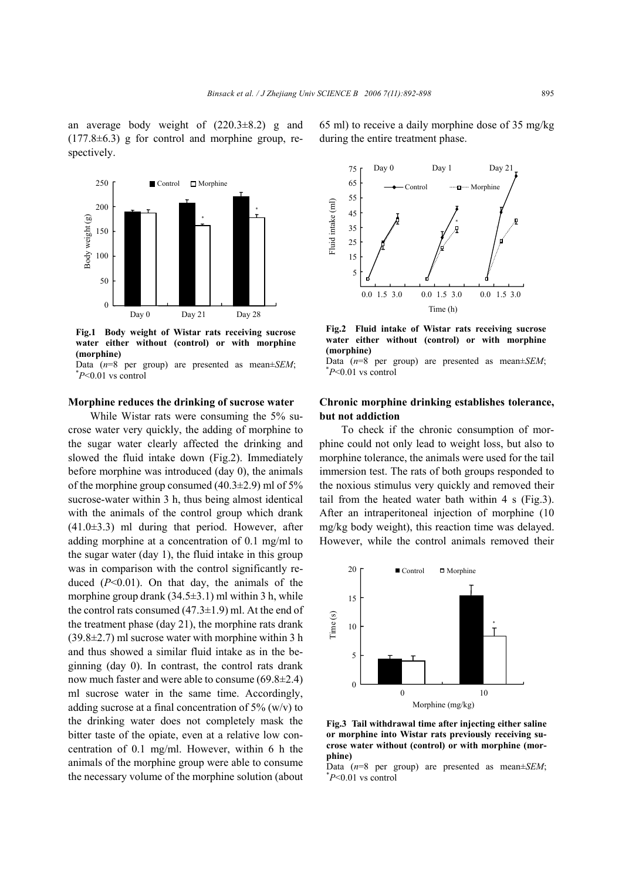an average body weight of  $(220.3\pm8.2)$  g and  $(177.8\pm6.3)$  g for control and morphine group, respectively.



**Fig.1 Body weight of Wistar rats receiving sucrose water either without (control) or with morphine (morphine)** 

Data  $(n=8$  per group) are presented as mean $\pm$ *SEM*; *P*<0.01 vs control

#### **Morphine reduces the drinking of sucrose water**

While Wistar rats were consuming the 5% sucrose water very quickly, the adding of morphine to the sugar water clearly affected the drinking and slowed the fluid intake down (Fig.2). Immediately before morphine was introduced (day 0), the animals of the morphine group consumed  $(40.3\pm2.9)$  ml of 5% sucrose-water within 3 h, thus being almost identical with the animals of the control group which drank  $(41.0\pm3.3)$  ml during that period. However, after adding morphine at a concentration of 0.1 mg/ml to the sugar water (day 1), the fluid intake in this group was in comparison with the control significantly reduced (*P*<0.01). On that day, the animals of the morphine group drank  $(34.5\pm3.1)$  ml within 3 h, while the control rats consumed  $(47.3\pm1.9)$  ml. At the end of the treatment phase (day 21), the morphine rats drank  $(39.8\pm2.7)$  ml sucrose water with morphine within 3 h and thus showed a similar fluid intake as in the beginning (day 0). In contrast, the control rats drank now much faster and were able to consume (69.8±2.4) ml sucrose water in the same time. Accordingly, adding sucrose at a final concentration of  $5\%$  (w/v) to the drinking water does not completely mask the bitter taste of the opiate, even at a relative low concentration of 0.1 mg/ml. However, within 6 h the animals of the morphine group were able to consume the necessary volume of the morphine solution (about 65 ml) to receive a daily morphine dose of 35 mg/kg during the entire treatment phase.



**Fig.2 Fluid intake of Wistar rats receiving sucrose water either without (control) or with morphine (morphine)** 

Data  $(n=8$  per group) are presented as mean $\pm$ *SEM*: *P*<0.01 vs control

## **Chronic morphine drinking establishes tolerance, but not addiction**

To check if the chronic consumption of morphine could not only lead to weight loss, but also to morphine tolerance, the animals were used for the tail immersion test. The rats of both groups responded to the noxious stimulus very quickly and removed their tail from the heated water bath within 4 s (Fig.3). After an intraperitoneal injection of morphine (10 mg/kg body weight), this reaction time was delayed. However, while the control animals removed their



**Fig.3 Tail withdrawal time after injecting either saline or morphine into Wistar rats previously receiving sucrose water without (control) or with morphine (morphine)** 

Data  $(n=8$  per group) are presented as mean $\pm$ *SEM*; *P*<0.01 vs control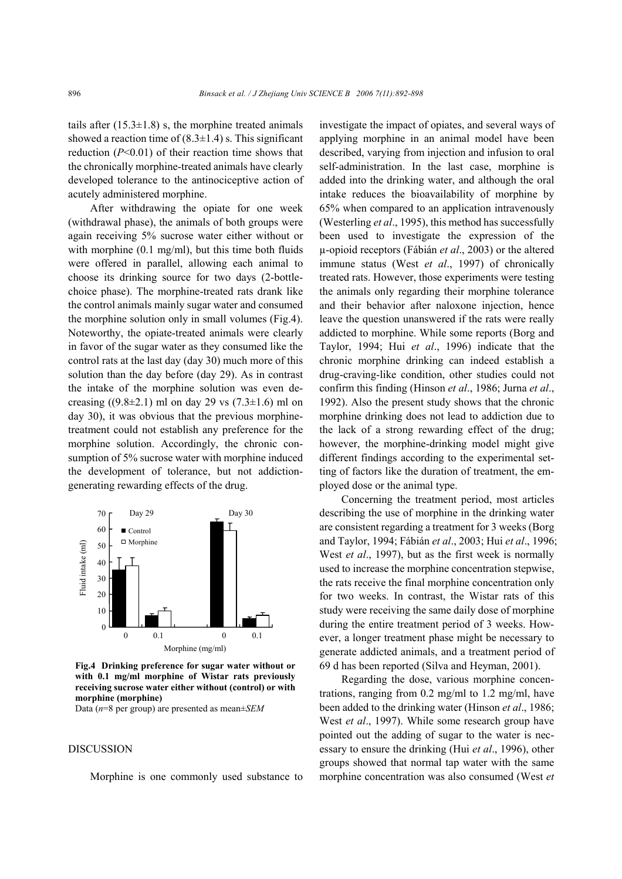tails after  $(15.3\pm1.8)$  s, the morphine treated animals showed a reaction time of  $(8.3\pm1.4)$  s. This significant reduction (*P*<0.01) of their reaction time shows that the chronically morphine-treated animals have clearly developed tolerance to the antinociceptive action of acutely administered morphine.

After withdrawing the opiate for one week (withdrawal phase), the animals of both groups were again receiving 5% sucrose water either without or with morphine (0.1 mg/ml), but this time both fluids were offered in parallel, allowing each animal to choose its drinking source for two days (2-bottlechoice phase). The morphine-treated rats drank like the control animals mainly sugar water and consumed the morphine solution only in small volumes (Fig.4). Noteworthy, the opiate-treated animals were clearly in favor of the sugar water as they consumed like the control rats at the last day (day 30) much more of this solution than the day before (day 29). As in contrast the intake of the morphine solution was even decreasing ((9.8 $\pm$ 2.1) ml on day 29 vs (7.3 $\pm$ 1.6) ml on day 30), it was obvious that the previous morphinetreatment could not establish any preference for the morphine solution. Accordingly, the chronic consumption of 5% sucrose water with morphine induced the development of tolerance, but not addictiongenerating rewarding effects of the drug.



**Fig.4 Drinking preference for sugar water without or with 0.1 mg/ml morphine of Wistar rats previously receiving sucrose water either without (control) or with morphine (morphine)** 

Data (*n*=8 per group) are presented as mean±*SEM*

## DISCUSSION

Morphine is one commonly used substance to

investigate the impact of opiates, and several ways of applying morphine in an animal model have been described, varying from injection and infusion to oral self-administration. In the last case, morphine is added into the drinking water, and although the oral intake reduces the bioavailability of morphine by 65% when compared to an application intravenously (Westerling *et al*., 1995), this method has successfully been used to investigate the expression of the µ-opioid receptors (Fábián *et al*., 2003) or the altered immune status (West *et al*., 1997) of chronically treated rats. However, those experiments were testing the animals only regarding their morphine tolerance and their behavior after naloxone injection, hence leave the question unanswered if the rats were really addicted to morphine. While some reports (Borg and Taylor, 1994; Hui *et al*., 1996) indicate that the chronic morphine drinking can indeed establish a drug-craving-like condition, other studies could not confirm this finding (Hinson *et al*., 1986; Jurna *et al*., 1992). Also the present study shows that the chronic morphine drinking does not lead to addiction due to the lack of a strong rewarding effect of the drug; however, the morphine-drinking model might give different findings according to the experimental setting of factors like the duration of treatment, the employed dose or the animal type.

Concerning the treatment period, most articles describing the use of morphine in the drinking water are consistent regarding a treatment for 3 weeks (Borg and Taylor, 1994; Fábián *et al*., 2003; Hui *et al*., 1996; West *et al*., 1997), but as the first week is normally used to increase the morphine concentration stepwise, the rats receive the final morphine concentration only for two weeks. In contrast, the Wistar rats of this study were receiving the same daily dose of morphine during the entire treatment period of 3 weeks. However, a longer treatment phase might be necessary to generate addicted animals, and a treatment period of 69 d has been reported (Silva and Heyman, 2001).

Regarding the dose, various morphine concentrations, ranging from 0.2 mg/ml to 1.2 mg/ml, have been added to the drinking water (Hinson *et al*., 1986; West *et al*., 1997). While some research group have pointed out the adding of sugar to the water is necessary to ensure the drinking (Hui *et al*., 1996), other groups showed that normal tap water with the same morphine concentration was also consumed (West *et*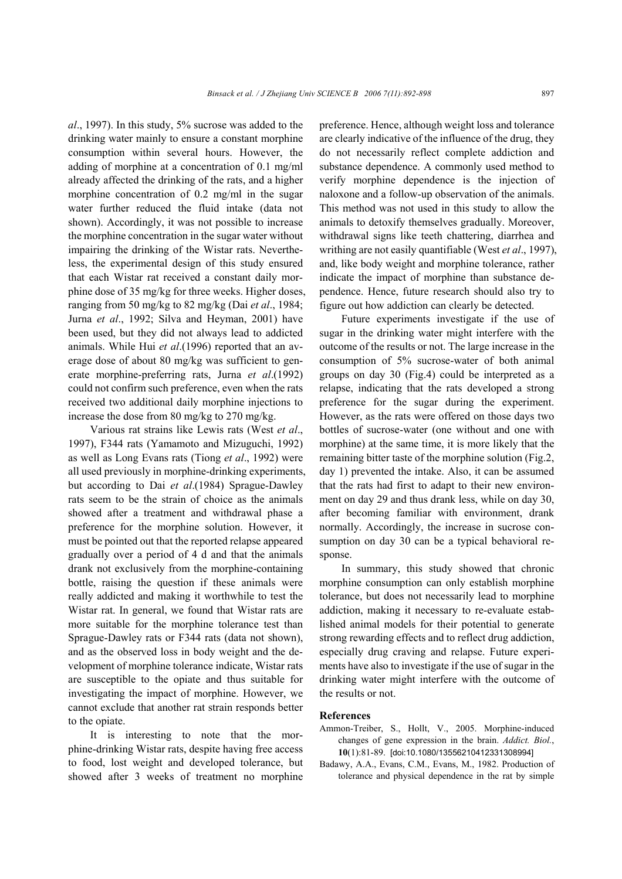*al*., 1997). In this study, 5% sucrose was added to the drinking water mainly to ensure a constant morphine consumption within several hours. However, the adding of morphine at a concentration of 0.1 mg/ml already affected the drinking of the rats, and a higher morphine concentration of 0.2 mg/ml in the sugar water further reduced the fluid intake (data not shown). Accordingly, it was not possible to increase the morphine concentration in the sugar water without impairing the drinking of the Wistar rats. Nevertheless, the experimental design of this study ensured that each Wistar rat received a constant daily morphine dose of 35 mg/kg for three weeks. Higher doses, ranging from 50 mg/kg to 82 mg/kg (Dai *et al*., 1984; Jurna *et al*., 1992; Silva and Heyman, 2001) have been used, but they did not always lead to addicted animals. While Hui *et al*.(1996) reported that an average dose of about 80 mg/kg was sufficient to generate morphine-preferring rats, Jurna *et al*.(1992) could not confirm such preference, even when the rats received two additional daily morphine injections to increase the dose from 80 mg/kg to 270 mg/kg.

Various rat strains like Lewis rats (West *et al*., 1997), F344 rats (Yamamoto and Mizuguchi, 1992) as well as Long Evans rats (Tiong *et al*., 1992) were all used previously in morphine-drinking experiments, but according to Dai *et al*.(1984) Sprague-Dawley rats seem to be the strain of choice as the animals showed after a treatment and withdrawal phase a preference for the morphine solution. However, it must be pointed out that the reported relapse appeared gradually over a period of 4 d and that the animals drank not exclusively from the morphine-containing bottle, raising the question if these animals were really addicted and making it worthwhile to test the Wistar rat. In general, we found that Wistar rats are more suitable for the morphine tolerance test than Sprague-Dawley rats or F344 rats (data not shown), and as the observed loss in body weight and the development of morphine tolerance indicate, Wistar rats are susceptible to the opiate and thus suitable for investigating the impact of morphine. However, we cannot exclude that another rat strain responds better to the opiate.

It is interesting to note that the morphine-drinking Wistar rats, despite having free access to food, lost weight and developed tolerance, but showed after 3 weeks of treatment no morphine preference. Hence, although weight loss and tolerance are clearly indicative of the influence of the drug, they do not necessarily reflect complete addiction and substance dependence. A commonly used method to verify morphine dependence is the injection of naloxone and a follow-up observation of the animals. This method was not used in this study to allow the animals to detoxify themselves gradually. Moreover, withdrawal signs like teeth chattering, diarrhea and writhing are not easily quantifiable (West *et al*., 1997), and, like body weight and morphine tolerance, rather indicate the impact of morphine than substance dependence. Hence, future research should also try to figure out how addiction can clearly be detected.

Future experiments investigate if the use of sugar in the drinking water might interfere with the outcome of the results or not. The large increase in the consumption of 5% sucrose-water of both animal groups on day 30 (Fig.4) could be interpreted as a relapse, indicating that the rats developed a strong preference for the sugar during the experiment. However, as the rats were offered on those days two bottles of sucrose-water (one without and one with morphine) at the same time, it is more likely that the remaining bitter taste of the morphine solution (Fig.2, day 1) prevented the intake. Also, it can be assumed that the rats had first to adapt to their new environment on day 29 and thus drank less, while on day 30, after becoming familiar with environment, drank normally. Accordingly, the increase in sucrose consumption on day 30 can be a typical behavioral response.

In summary, this study showed that chronic morphine consumption can only establish morphine tolerance, but does not necessarily lead to morphine addiction, making it necessary to re-evaluate established animal models for their potential to generate strong rewarding effects and to reflect drug addiction, especially drug craving and relapse. Future experiments have also to investigate if the use of sugar in the drinking water might interfere with the outcome of the results or not.

## **References**

- Ammon-Treiber, S., Hollt, V., 2005. Morphine-induced changes of gene expression in the brain. *Addict. Biol.*, **10**(1):81-89. [doi:10.1080/13556210412331308994]
- Badawy, A.A., Evans, C.M., Evans, M., 1982. Production of tolerance and physical dependence in the rat by simple